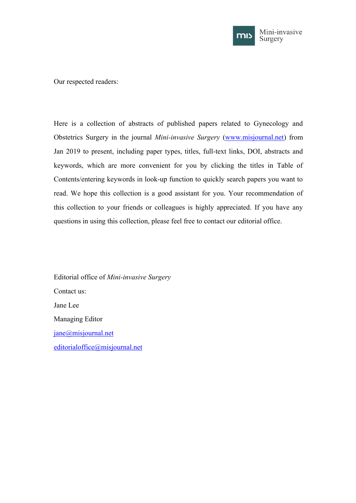

Our respected readers:

Here is a collection of abstracts of published papers related to Gynecology and Obstetrics Surgery in the journal *Mini-invasive Surgery* ([www.misjournal.net\)](http://www.misjournal.net) from Jan 2019 to present, including paper types, titles, full-text links, DOI, abstracts and keywords, which are more convenient for you by clicking the titles in Table of Contents/entering keywords in look-up function to quickly search papers you want to read. We hope this collection is a good assistant for you. Your recommendation of this collection to your friends or colleagues is highly appreciated. If you have any questions in using this collection, please feel free to contact our editorial office.

Editorial office of *Mini-invasive Surgery* Contact us: Jane Lee Managing Editor [jane@misjournal.net](mailto:jane@misjournal.net) [editorialoffice@misjournal.net](mailto:editorialoffice@misjournal.net)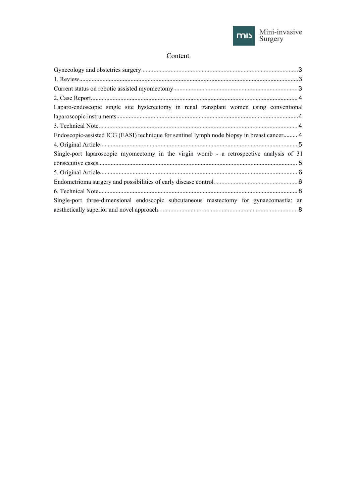

# Content

| Laparo-endoscopic single site hysterectomy in renal transplant women using conventional    |
|--------------------------------------------------------------------------------------------|
|                                                                                            |
|                                                                                            |
| Endoscopic-assisted ICG (EASI) technique for sentinel lymph node biopsy in breast cancer 4 |
|                                                                                            |
| Single-port laparoscopic myomectomy in the virgin womb - a retrospective analysis of 31    |
|                                                                                            |
|                                                                                            |
|                                                                                            |
|                                                                                            |
| Single-port three-dimensional endoscopic subcutaneous mastectomy for gynaecomastia: an     |
|                                                                                            |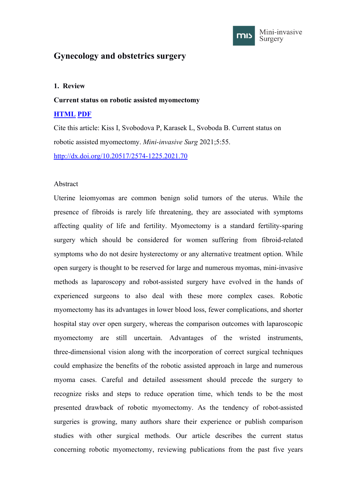

# <span id="page-2-1"></span><span id="page-2-0"></span>**Gynecology and obstetrics surgery**

## **1. Review**

#### **Current status on robotic assisted myomectomy**

## **[HTML](https://misjournal.net/article/view/4441) [PDF](https://misjournal.net/article/download/4441)**

Cite this article: Kiss I, Svobodova P, Karasek L, Svoboda B. Current status on robotic assisted myomectomy. *Mini-invasive Surg* 2021;5:55.

<http://dx.doi.org/10.20517/2574-1225.2021.70>

### Abstract

Uterine leiomyomas are common benign solid tumors of the uterus. While the presence of fibroids is rarely life threatening, they are associated with symptoms affecting quality of life and fertility. Myomectomy is a standard fertility-sparing surgery which should be considered for women suffering from fibroid-related symptoms who do not desire hysterectomy or any alternative treatment option. While open surgery is thought to be reserved for large and numerous myomas, mini-invasive methods as laparoscopy and robot-assisted surgery have evolved in the hands of experienced surgeons to also deal with these more complex cases. Robotic myomectomy has its advantages in lower blood loss, fewer complications, and shorter hospital stay over open surgery, whereas the comparison outcomes with laparoscopic myomectomy are still uncertain. Advantages of the wristed instruments, three-dimensional vision along with the incorporation of correct surgical techniques could emphasize the benefits of the robotic assisted approach in large and numerous myoma cases. Careful and detailed assessment should precede the surgery to recognize risks and steps to reduce operation time, which tends to be the most presented drawback of robotic myomectomy. As the tendency of robot-assisted surgeries is growing, many authors share their experience or publish comparison studies with other surgical methods. Our article describes the current status concerning robotic myomectomy, reviewing publications from the past five years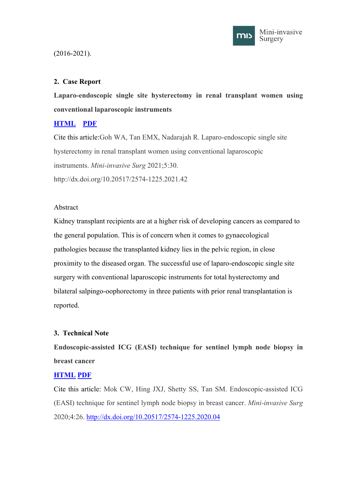

# <span id="page-3-1"></span><span id="page-3-0"></span>(2016-2021).

# **2. Case Report**

**Laparo-endoscopic single site hysterectomy in renal transplant women using conventional laparoscopic instruments**

# **[HTML](https://misjournal.net/article/view/4072) [PDF](https://oaepublishstorage.blob.core.windows.net/8235dbfe-01d0-4fb7-b19b-4e6041aa3afa/4072.pdf)**

Cite this article:Goh WA, Tan EMX, Nadarajah R. Laparo-endoscopic single site hysterectomy in renal transplant women using conventional laparoscopic instruments. *Mini-invasive Surg* 2021;5:30. http://dx.doi.org/10.20517/2574-1225.2021.42

## Abstract

Kidney transplant recipients are at a higher risk of developing cancers as compared to the general population. This is of concern when it comes to gynaecological pathologies because the transplanted kidney lies in the pelvic region, in close proximity to the diseased organ. The successful use of laparo-endoscopic single site surgery with conventional laparoscopic instruments for total hysterectomy and bilateral salpingo-oophorectomy in three patients with prior renal transplantation is reported.

## **3. Technical Note**

**Endoscopic-assisted ICG (EASI) technique for sentinel lymph node biopsy in breast cancer**

## **[HTML](https://misjournal.net/article/view/3452) [PDF](https://oaepublishstorage.blob.core.windows.net/679c0be7-6e74-4874-9edf-66d3ff997851/3452.pdf)**

Cite this article: Mok CW, Hing JXJ, Shetty SS, Tan SM. Endoscopic-assisted ICG (EASI) technique for sentinel lymph node biopsy in breast cancer. *Mini-invasive Surg* 2020;4:26. <http://dx.doi.org/10.20517/2574-1225.2020.04>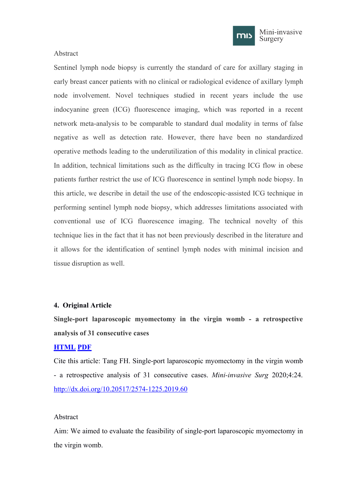

#### <span id="page-4-1"></span><span id="page-4-0"></span>Abstract

Sentinel lymph node biopsy is currently the standard of care for axillary staging in early breast cancer patients with no clinical or radiological evidence of axillary lymph node involvement. Novel techniques studied in recent years include the use indocyanine green (ICG) fluorescence imaging, which was reported in a recent network meta-analysis to be comparable to standard dual modality in terms of false negative as well as detection rate. However, there have been no standardized operative methods leading to the underutilization of this modality in clinical practice. In addition, technical limitations such as the difficulty in tracing ICG flow in obese patients further restrict the use of ICG fluorescence in sentinel lymph node biopsy. In this article, we describe in detail the use of the endoscopic-assisted ICG technique in performing sentinel lymph node biopsy, which addresses limitations associated with conventional use of ICG fluorescence imaging. The technical novelty of this technique lies in the fact that it has not been previously described in the literature and it allows for the identification of sentinel lymph nodes with minimal incision and tissue disruption as well.

#### **4. Original Article**

**Single-port laparoscopic myomectomy in the virgin womb - a retrospective analysis of 31 consecutive cases**

#### **[HTML](https://misjournal.net/article/view/3426) [PDF](https://oaepublishstorage.blob.core.windows.net/18bc0f77-39f7-4bef-a231-67358bbf04c0/3426.pdf)**

Cite this article: Tang FH. Single-port laparoscopic myomectomy in the virgin womb - a retrospective analysis of 31 consecutive cases. *Mini-invasive Surg* 2020;4:24. <http://dx.doi.org/10.20517/2574-1225.2019.60>

### Abstract

Aim: We aimed to evaluate the feasibility of single-port laparoscopic myomectomy in the virgin womb.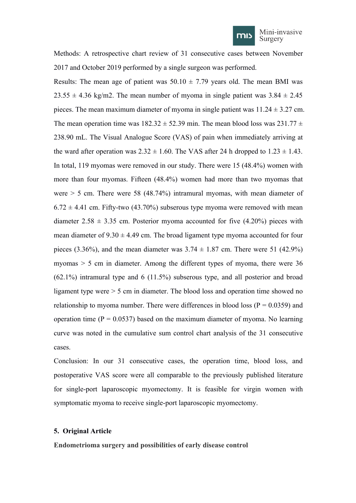

<span id="page-5-1"></span><span id="page-5-0"></span>Methods: A retrospective chart review of 31 consecutive cases between November 2017 and October 2019 performed by a single surgeon was performed.

Results: The mean age of patient was  $50.10 \pm 7.79$  years old. The mean BMI was  $23.55 \pm 4.36$  kg/m2. The mean number of myoma in single patient was  $3.84 \pm 2.45$ pieces. The mean maximum diameter of myoma in single patient was  $11.24 \pm 3.27$  cm. The mean operation time was  $182.32 \pm 52.39$  min. The mean blood loss was  $231.77 \pm 1.5$ 238.90 mL. The Visual Analogue Score (VAS) of pain when immediately arriving at the ward after operation was  $2.32 \pm 1.60$ . The VAS after 24 h dropped to  $1.23 \pm 1.43$ . In total, 119 myomas were removed in our study. There were 15 (48.4%) women with more than four myomas. Fifteen (48.4%) women had more than two myomas that were  $> 5$  cm. There were 58 (48.74%) intramural myomas, with mean diameter of  $6.72 \pm 4.41$  cm. Fifty-two (43.70%) subserous type myoma were removed with mean diameter  $2.58 \pm 3.35$  cm. Posterior myoma accounted for five (4.20%) pieces with mean diameter of  $9.30 \pm 4.49$  cm. The broad ligament type myoma accounted for four pieces (3.36%), and the mean diameter was  $3.74 \pm 1.87$  cm. There were 51 (42.9%) myomas > 5 cm in diameter. Among the different types of myoma, there were 36 (62.1%) intramural type and 6 (11.5%) subserous type, and all posterior and broad ligament type were > 5 cm in diameter. The blood loss and operation time showed no relationship to myoma number. There were differences in blood loss ( $P = 0.0359$ ) and operation time ( $P = 0.0537$ ) based on the maximum diameter of myoma. No learning curve was noted in the cumulative sum control chart analysis of the 31 consecutive cases.

Conclusion: In our 31 consecutive cases, the operation time, blood loss, and postoperative VAS score were all comparable to the previously published literature for single-port laparoscopic myomectomy. It is feasible for virgin women with symptomatic myoma to receive single-port laparoscopic myomectomy.

#### **5. Original Article**

**Endometrioma surgery and possibilities ofearly disease control**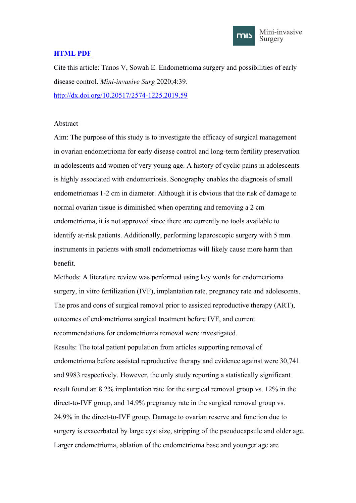

# **[HTML](https://misjournal.net/article/view/3522) [PDF](https://oaepublishstorage.blob.core.windows.net/32f932be-8b3a-4bd8-8ae2-eeaf08f30ed7/3522.pdf)**

Cite this article: Tanos V, Sowah E. Endometrioma surgery and possibilities of early disease control. *Mini-invasive Surg* 2020;4:39. <http://dx.doi.org/10.20517/2574-1225.2019.59>

### Abstract

Aim: The purpose of this study is to investigate the efficacy of surgical management in ovarian endometrioma for early disease control and long-term fertility preservation in adolescents and women of very young age. A history of cyclic pains in adolescents is highly associated with endometriosis. Sonography enables the diagnosis of small endometriomas 1-2 cm in diameter. Although it is obvious that the risk of damage to normal ovarian tissue is diminished when operating and removing a 2 cm endometrioma, it is not approved since there are currently no tools available to identify at-risk patients. Additionally, performing laparoscopic surgery with 5 mm instruments in patients with small endometriomas will likely cause more harm than benefit.

Methods: A literature review was performed using key words for endometrioma surgery, in vitro fertilization (IVF), implantation rate, pregnancy rate and adolescents. The pros and cons of surgical removal prior to assisted reproductive therapy (ART), outcomes of endometrioma surgical treatment before IVF, and current recommendations for endometrioma removal were investigated. Results: The total patient population from articles supporting removal of endometrioma before assisted reproductive therapy and evidence against were 30,741 and 9983 respectively. However, the only study reporting a statistically significant result found an 8.2% implantation rate for the surgical removal group vs. 12% in the direct-to-IVF group, and 14.9% pregnancy rate in the surgical removal group vs. 24.9% in the direct-to-IVF group. Damage to ovarian reserve and function due to surgery is exacerbated by large cyst size, stripping of the pseudocapsule and older age. Larger endometrioma, ablation of the endometrioma base and younger age are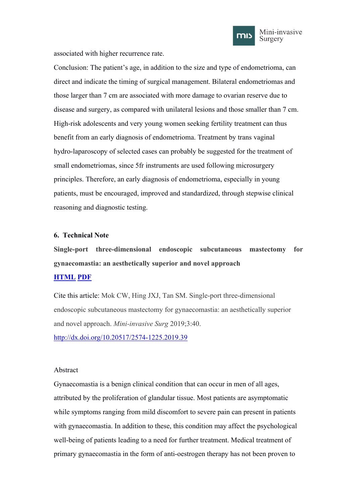

<span id="page-7-1"></span><span id="page-7-0"></span>associated with higher recurrence rate.

Conclusion: The patient's age, in addition to the size and type of endometrioma, can direct and indicate the timing of surgical management. Bilateral endometriomas and those larger than 7 cm are associated with more damage to ovarian reserve due to disease and surgery, as compared with unilateral lesions and those smaller than 7 cm. High-risk adolescents and very young women seeking fertility treatment can thus benefit from an early diagnosis of endometrioma. Treatment by trans vaginal hydro-laparoscopy of selected cases can probably be suggested for the treatment of small endometriomas, since 5fr instruments are used following microsurgery principles. Therefore, an early diagnosis of endometrioma, especially in young patients, must be encouraged, improved and standardized, through stepwise clinical reasoning and diagnostic testing.

## **6. Technical Note**

**Single-port [three-dimensional](https://misjournal.net/article/view/3300) endoscopic subcutaneous mastectomy for gynaecomastia: an aesthetically superior and novel approach [HTML](https://misjournal.net/article/view/3300) [PDF](https://oaepublishstorage.blob.core.windows.net/59230823-ba55-4aac-8bce-ad92b70224ed/3300.pdf)**

Cite this article: Mok CW, Hing JXJ, Tan SM. Single-port three-dimensional endoscopic subcutaneous mastectomy for gynaecomastia: an aesthetically superior and novel approach. *Mini-invasive Surg* 2019;3:40. <http://dx.doi.org/10.20517/2574-1225.2019.39>

## Abstract

Gynaecomastia is a benign clinical condition that can occur in men of all ages, attributed by the proliferation of glandular tissue. Most patients are asymptomatic while symptoms ranging from mild discomfort to severe pain can present in patients with gynaecomastia. In addition to these, this condition may affect the psychological well-being of patients leading to a need for further treatment. Medical treatment of primary gynaecomastia in the form of anti-oestrogen therapy has not been proven to